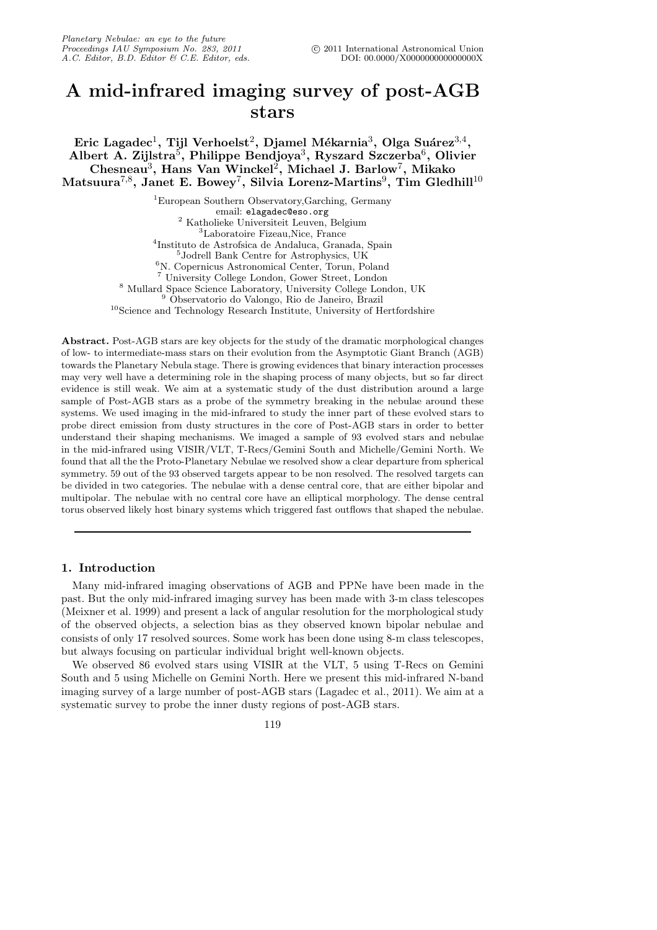# A mid-infrared imaging survey of post-AGB stars

Eric Lagadec $^1$ , Tijl Verhoelst $^2$ , Djamel Mékarnia $^3$ , Olga Suáre $\mathrm{z}^{3,4},$ Albert A. Zijlstra<sup>5</sup>, Philippe Bendjoya<sup>3</sup>, Ryszard Szczerba<sup>6</sup>, Olivier Chesneau<sup>3</sup>, Hans Van Winckel<sup>2</sup>, Michael J. Barlow<sup>7</sup>, Mikako Matsuura $^{7,8},$  Janet E. Bowey $^7,$  Silvia Lorenz-Martins $^9,$  Tim Gledhill $^{10}$ 

> European Southern Observatory,Garching, Germany email: elagadec@eso.org Katholieke Universiteit Leuven, Belgium Laboratoire Fizeau,Nice, France Instituto de Astrofsica de Andaluca, Granada, Spain Jodrell Bank Centre for Astrophysics, UK N. Copernicus Astronomical Center, Torun, Poland University College London, Gower Street, London Mullard Space Science Laboratory, University College London, UK Observatorio do Valongo, Rio de Janeiro, Brazil <sup>10</sup>Science and Technology Research Institute, University of Hertfordshire

Abstract. Post-AGB stars are key objects for the study of the dramatic morphological changes of low- to intermediate-mass stars on their evolution from the Asymptotic Giant Branch (AGB) towards the Planetary Nebula stage. There is growing evidences that binary interaction processes may very well have a determining role in the shaping process of many objects, but so far direct evidence is still weak. We aim at a systematic study of the dust distribution around a large sample of Post-AGB stars as a probe of the symmetry breaking in the nebulae around these systems. We used imaging in the mid-infrared to study the inner part of these evolved stars to probe direct emission from dusty structures in the core of Post-AGB stars in order to better understand their shaping mechanisms. We imaged a sample of 93 evolved stars and nebulae in the mid-infrared using VISIR/VLT, T-Recs/Gemini South and Michelle/Gemini North. We found that all the the Proto-Planetary Nebulae we resolved show a clear departure from spherical symmetry. 59 out of the 93 observed targets appear to be non resolved. The resolved targets can be divided in two categories. The nebulae with a dense central core, that are either bipolar and multipolar. The nebulae with no central core have an elliptical morphology. The dense central torus observed likely host binary systems which triggered fast outflows that shaped the nebulae.

# 1. Introduction

Many mid-infrared imaging observations of AGB and PPNe have been made in the past. But the only mid-infrared imaging survey has been made with 3-m class telescopes (Meixner et al. 1999) and present a lack of angular resolution for the morphological study of the observed objects, a selection bias as they observed known bipolar nebulae and consists of only 17 resolved sources. Some work has been done using 8-m class telescopes, but always focusing on particular individual bright well-known objects.

We observed 86 evolved stars using VISIR at the VLT, 5 using T-Recs on Gemini South and 5 using Michelle on Gemini North. Here we present this mid-infrared N-band imaging survey of a large number of post-AGB stars (Lagadec et al., 2011). We aim at a systematic survey to probe the inner dusty regions of post-AGB stars.

119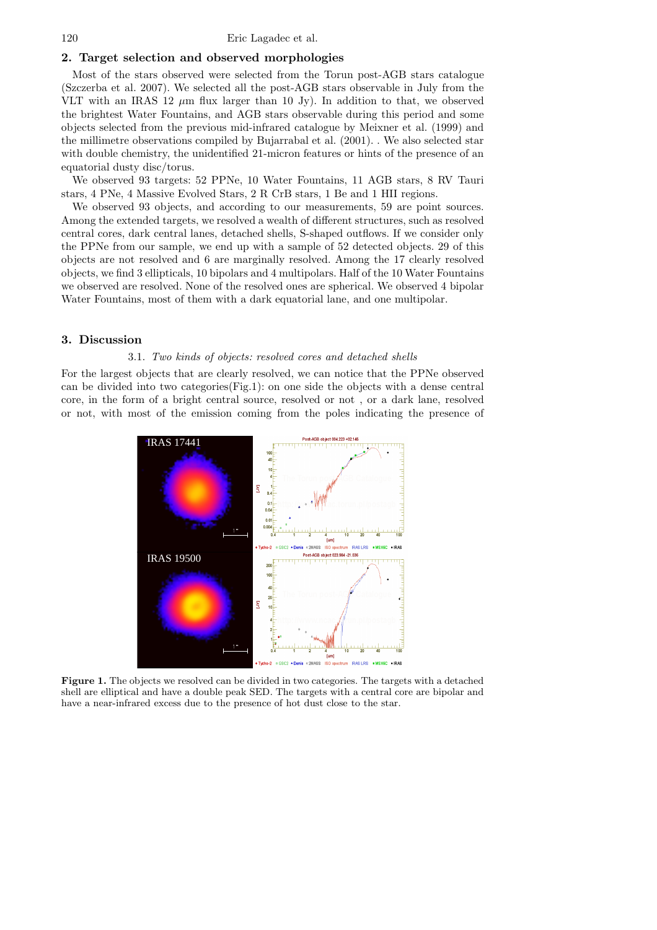120 Eric Lagadec et al.

### 2. Target selection and observed morphologies

Most of the stars observed were selected from the Torun post-AGB stars catalogue (Szczerba et al. 2007). We selected all the post-AGB stars observable in July from the VLT with an IRAS 12  $\mu$ m flux larger than 10 Jy). In addition to that, we observed the brightest Water Fountains, and AGB stars observable during this period and some objects selected from the previous mid-infrared catalogue by Meixner et al. (1999) and the millimetre observations compiled by Bujarrabal et al. (2001). . We also selected star with double chemistry, the unidentified 21-micron features or hints of the presence of an equatorial dusty disc/torus.

We observed 93 targets: 52 PPNe, 10 Water Fountains, 11 AGB stars, 8 RV Tauri stars, 4 PNe, 4 Massive Evolved Stars, 2 R CrB stars, 1 Be and 1 HII regions.

We observed 93 objects, and according to our measurements, 59 are point sources. Among the extended targets, we resolved a wealth of different structures, such as resolved central cores, dark central lanes, detached shells, S-shaped outflows. If we consider only the PPNe from our sample, we end up with a sample of 52 detected objects. 29 of this objects are not resolved and 6 are marginally resolved. Among the 17 clearly resolved objects, we find 3 ellipticals, 10 bipolars and 4 multipolars. Half of the 10 Water Fountains we observed are resolved. None of the resolved ones are spherical. We observed 4 bipolar Water Fountains, most of them with a dark equatorial lane, and one multipolar.

## 3. Discussion

## 3.1. Two kinds of objects: resolved cores and detached shells

For the largest objects that are clearly resolved, we can notice that the PPNe observed can be divided into two categories(Fig.1): on one side the objects with a dense central core, in the form of a bright central source, resolved or not , or a dark lane, resolved or not, with most of the emission coming from the poles indicating the presence of



Figure 1. The objects we resolved can be divided in two categories. The targets with a detached shell are elliptical and have a double peak SED. The targets with a central core are bipolar and have a near-infrared excess due to the presence of hot dust close to the star.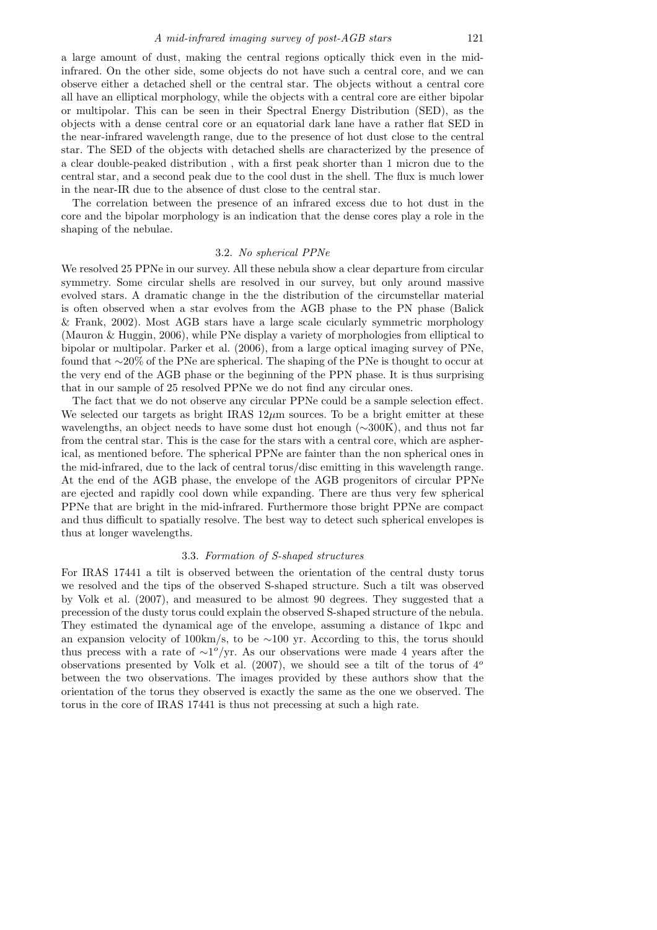a large amount of dust, making the central regions optically thick even in the midinfrared. On the other side, some objects do not have such a central core, and we can observe either a detached shell or the central star. The objects without a central core all have an elliptical morphology, while the objects with a central core are either bipolar or multipolar. This can be seen in their Spectral Energy Distribution (SED), as the objects with a dense central core or an equatorial dark lane have a rather flat SED in the near-infrared wavelength range, due to the presence of hot dust close to the central star. The SED of the objects with detached shells are characterized by the presence of a clear double-peaked distribution , with a first peak shorter than 1 micron due to the central star, and a second peak due to the cool dust in the shell. The flux is much lower in the near-IR due to the absence of dust close to the central star.

The correlation between the presence of an infrared excess due to hot dust in the core and the bipolar morphology is an indication that the dense cores play a role in the shaping of the nebulae.

#### 3.2. No spherical PPNe

We resolved 25 PPNe in our survey. All these nebula show a clear departure from circular symmetry. Some circular shells are resolved in our survey, but only around massive evolved stars. A dramatic change in the the distribution of the circumstellar material is often observed when a star evolves from the AGB phase to the PN phase (Balick & Frank, 2002). Most AGB stars have a large scale cicularly symmetric morphology (Mauron & Huggin, 2006), while PNe display a variety of morphologies from elliptical to bipolar or multipolar. Parker et al. (2006), from a large optical imaging survey of PNe, found that ∼20% of the PNe are spherical. The shaping of the PNe is thought to occur at the very end of the AGB phase or the beginning of the PPN phase. It is thus surprising that in our sample of 25 resolved PPNe we do not find any circular ones.

The fact that we do not observe any circular PPNe could be a sample selection effect. We selected our targets as bright IRAS  $12\mu$ m sources. To be a bright emitter at these wavelengths, an object needs to have some dust hot enough (∼300K), and thus not far from the central star. This is the case for the stars with a central core, which are aspherical, as mentioned before. The spherical PPNe are fainter than the non spherical ones in the mid-infrared, due to the lack of central torus/disc emitting in this wavelength range. At the end of the AGB phase, the envelope of the AGB progenitors of circular PPNe are ejected and rapidly cool down while expanding. There are thus very few spherical PPNe that are bright in the mid-infrared. Furthermore those bright PPNe are compact and thus difficult to spatially resolve. The best way to detect such spherical envelopes is thus at longer wavelengths.

#### 3.3. Formation of S-shaped structures

For IRAS 17441 a tilt is observed between the orientation of the central dusty torus we resolved and the tips of the observed S-shaped structure. Such a tilt was observed by Volk et al. (2007), and measured to be almost 90 degrees. They suggested that a precession of the dusty torus could explain the observed S-shaped structure of the nebula. They estimated the dynamical age of the envelope, assuming a distance of 1kpc and an expansion velocity of 100km/s, to be ∼100 yr. According to this, the torus should thus precess with a rate of  $\sim 1^o/\text{yr}$ . As our observations were made 4 years after the observations presented by Volk et al. (2007), we should see a tilt of the torus of  $4^{\circ}$ between the two observations. The images provided by these authors show that the orientation of the torus they observed is exactly the same as the one we observed. The torus in the core of IRAS 17441 is thus not precessing at such a high rate.